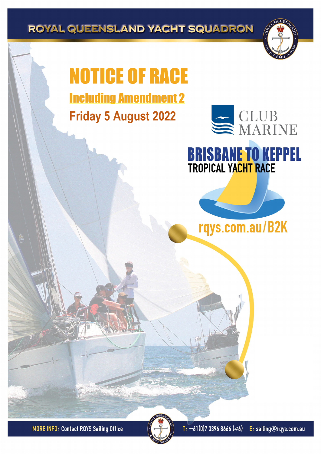ROYAL QUEENSLAND YACHT SQUADRON

# NOTICE OF RACE Including Amendment 2

**Friday 5 August 2022**



## **BRISBANE TO KEPPEL TROPICAL YACHT RACE**



**MORE INFO: Contact RQYS Sailing Office** 

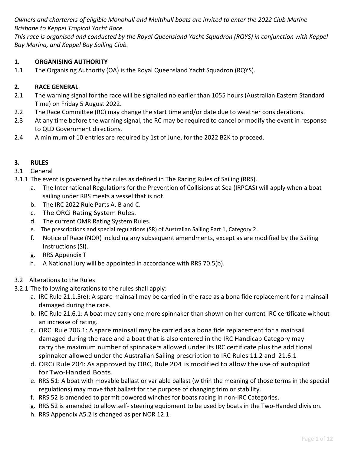*Owners and charterers of eligible Monohull and Multihull boats are invited to enter the 2022 Club Marine Brisbane to Keppel Tropical Yacht Race.*

*This race is organised and conducted by the Royal Queensland Yacht Squadron (RQYS) in conjunction with Keppel Bay Marina, and Keppel Bay Sailing Club.*

## **1. ORGANISING AUTHORITY**

1.1 The Organising Authority (OA) is the Royal Queensland Yacht Squadron (RQYS).

## **2. RACE GENERAL**

- 2.1 The warning signal for the race will be signalled no earlier than 1055 hours (Australian Eastern Standard Time) on Friday 5 August 2022.
- 2.2 The Race Committee (RC) may change the start time and/or date due to weather considerations.
- 2.3 At any time before the warning signal, the RC may be required to cancel or modify the event in response to QLD Government directions.
- 2.4 A minimum of 10 entries are required by 1st of June, for the 2022 B2K to proceed.

## **3. RULES**

3.1 General

- 3.1.1 The event is governed by the rules as defined in The Racing Rules of Sailing (RRS).
	- a. The International Regulations for the Prevention of Collisions at Sea (IRPCAS) will apply when a boat sailing under RRS meets a vessel that is not.
	- b. The IRC 2022 Rule Parts A, B and C.
	- c. The ORCi Rating System Rules.
	- d. The current OMR Rating System Rules.
	- e. The prescriptions and special regulations (SR) of Australian Sailing Part 1, Category 2.
	- f. Notice of Race (NOR) including any subsequent amendments, except as are modified by the Sailing Instructions (SI).
	- g. RRS Appendix T
	- h. A National Jury will be appointed in accordance with RRS 70.5(b).

## 3.2 Alterations to the Rules

- 3.2.1 The following alterations to the rules shall apply:
	- a. IRC Rule 21.1.5(e): A spare mainsail may be carried in the race as a bona fide replacement for a mainsail damaged during the race.
	- b. IRC Rule 21.6.1: A boat may carry one more spinnaker than shown on her current IRC certificate without an increase of rating.
	- c. ORCi Rule 206.1: A spare mainsail may be carried as a bona fide replacement for a mainsail damaged during the race and a boat that is also entered in the IRC Handicap Category may carry the maximum number of spinnakers allowed under its IRC certificate plus the additional spinnaker allowed under the Australian Sailing prescription to IRC Rules 11.2 and 21.6.1
	- d. ORCi Rule 204: As approved by ORC, Rule 204 is modified to allow the use of autopilot for Two-Handed Boats.
	- e. RRS 51: A boat with movable ballast or variable ballast (within the meaning of those terms in the special regulations) may move that ballast for the purpose of changing trim or stability.
	- f. RRS 52 is amended to permit powered winches for boats racing in non-IRC Categories.
	- g. RRS 52 is amended to allow self- steering equipment to be used by boats in the Two-Handed division.
	- h. RRS Appendix A5.2 is changed as per NOR 12.1.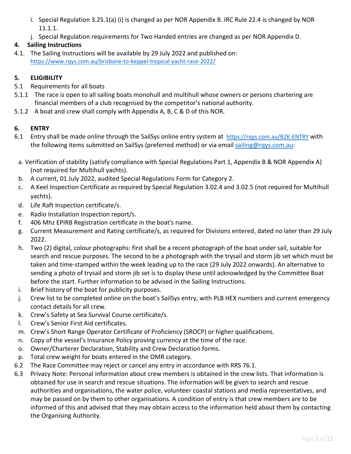- i. Special Regulation 3.25.1(a) (i) is changed as per NOR Appendix B. IRC Rule 22.4 is changed by NOR 11.1.1.
- j. Special Regulation requirements for Two Handed entries are changed as per NOR Appendix D.

## **4. Sailing Instructions**

4.1. The Sailing Instructions will be available by 29 July 2022 and published on: <https://www.rqys.com.au/brisbane-to-keppel-tropical-yacht-race-2022/>

## **5. ELIGIBILITY**

- 5.1 Requirements for all boats
- 5.1.1 The race is open to all sailing boats monohull and multihull whose owners or persons chartering are financial members of a club recognised by the competitor's national authority.
- 5.1.2 A boat and crew shall comply with Appendix A, B, C & D of this NOR.

## **6. ENTRY**

- 6.1 Entry shall be made online through the SailSys online entry system at <https://rqys.com.au/B2K-ENTRY> with the following items submitted on SailSys (preferred method) or via email [sailing@rqys.com.au:](mailto:sailing@rqys.com.au)
- a. Verification of stability (satisfy compliance with Special Regulations Part 1, Appendix B & NOR Appendix A) (not required for Multihull yachts).
- b. A current, 01 July 2022, audited Special Regulations Form for Category 2.
- c. A Keel Inspection Certificate as required by Special Regulation 3.02.4 and 3.02.5 (not required for Multihull yachts).
- d. Life Raft Inspection certificate/s.
- e. Radio Installation Inspection report/s.
- f. 406 Mhz EPIRB Registration certificate in the boat's name.
- g. Current Measurement and Rating certificate/s, as required for Divisions entered, dated no later than 29 July 2022.
- h. Two (2) digital, colour photographs: first shall be a recent photograph of the boat under sail, suitable for search and rescue purposes. The second to be a photograph with the trysail and storm jib set which must be taken and time-stamped within the week leading up to the race (29 July 2022 onwards). An alternative to sending a photo of trysail and storm jib set is to display these until acknowledged by the Committee Boat before the start. Further information to be advised in the Sailing Instructions.
- i. Brief history of the boat for publicity purposes.
- j. Crew list to be completed online on the boat's SailSys entry, with PLB HEX numbers and current emergency contact details for all crew.
- k. Crew's Safety at Sea Survival Course certificate/s.
- l. Crew's Senior First Aid certificates.
- m. Crew's Short Range Operator Certificate of Proficiency (SROCP) or higher qualifications.
- n. Copy of the vessel's Insurance Policy proving currency at the time of the race.
- o. Owner/Charterer Declaration, Stability and Crew Declaration forms.
- p. Total crew weight for boats entered in the OMR category.
- 6.2 The Race Committee may reject or cancel any entry in accordance with RRS 76.1.
- 6.3 Privacy Note: Personal information about crew members is obtained in the crew lists. That information is obtained for use in search and rescue situations. The information will be given to search and rescue authorities and organisations, the water police, volunteer coastal stations and media representatives, and may be passed on by them to other organisations. A condition of entry is that crew members are to be informed of this and advised that they may obtain access to the information held about them by contacting the Organising Authority.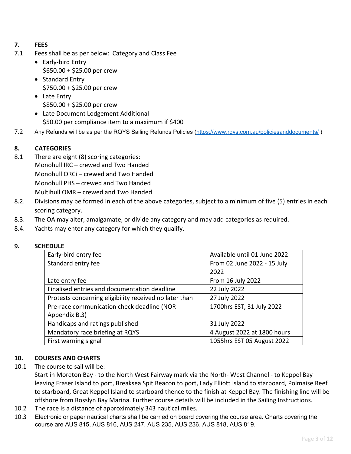## **7. FEES**

- 7.1 Fees shall be as per below: Category and Class Fee
	- Early-bird Entry \$650.00 + \$25.00 per crew
	- Standard Entry \$750.00 + \$25.00 per crew
	- Late Entry  $$850.00 + $25.00$  per crew
	- Late Document Lodgement Additional \$50.00 per compliance item to a maximum if \$400
- 7.2 Any Refunds will be as per the RQYS Sailing Refunds Policies [\(https://www.rqys.com.au/policiesanddocuments/](https://www.rqys.com.au/policiesanddocuments/))

## **8. CATEGORIES**

- 8.1 There are eight (8) scoring categories: Monohull IRC – crewed and Two Handed Monohull ORCi – crewed and Two Handed Monohull PHS – crewed and Two Handed Multihull OMR – crewed and Two Handed
- 8.2. Divisions may be formed in each of the above categories, subject to a minimum of five (5) entries in each scoring category.
- 8.3. The OA may alter, amalgamate, or divide any category and may add categories as required.
- 8.4. Yachts may enter any category for which they qualify.

#### **9. SCHEDULE**

| Early-bird entry fee                                   | Available until 01 June 2022 |
|--------------------------------------------------------|------------------------------|
| Standard entry fee                                     | From 02 June 2022 - 15 July  |
|                                                        | 2022                         |
| Late entry fee                                         | From 16 July 2022            |
| Finalised entries and documentation deadline           | 22 July 2022                 |
| Protests concerning eligibility received no later than | 27 July 2022                 |
| Pre-race communication check deadline (NOR             | 1700hrs EST, 31 July 2022    |
| Appendix B.3)                                          |                              |
| Handicaps and ratings published                        | 31 July 2022                 |
| Mandatory race briefing at RQYS                        | 4 August 2022 at 1800 hours  |
| First warning signal                                   | 1055hrs EST 05 August 2022   |

## **10. COURSES AND CHARTS**

10.1 The course to sail will be:

Start in Moreton Bay - to the North West Fairway mark via the North- West Channel - to Keppel Bay leaving Fraser Island to port, Breaksea Spit Beacon to port, Lady Elliott Island to starboard, Polmaise Reef to starboard, Great Keppel Island to starboard thence to the finish at Keppel Bay. The finishing line will be offshore from Rosslyn Bay Marina. Further course details will be included in the Sailing Instructions.

- 10.2 The race is a distance of approximately 343 nautical miles.
- 10.3 Electronic or paper nautical charts shall be carried on board covering the course area. Charts covering the course are AUS 815, AUS 816, AUS 247, AUS 235, AUS 236, AUS 818, AUS 819.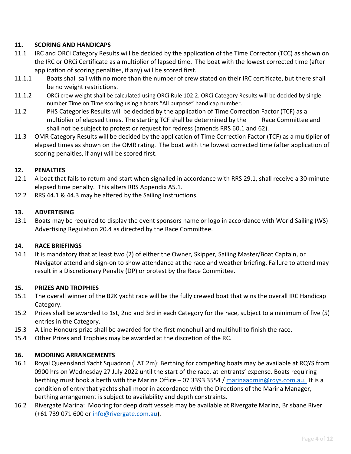## **11. SCORING AND HANDICAPS**

- 11.1 IRC and ORCi Category Results will be decided by the application of the Time Corrector (TCC) as shown on the IRC or ORCi Certificate as a multiplier of lapsed time. The boat with the lowest corrected time (after application of scoring penalties, if any) will be scored first.
- 11.1.1 Boats shall sail with no more than the number of crew stated on their IRC certificate, but there shall be no weight restrictions.
- 11.1.2 ORCi crew weight shall be calculated using ORCi Rule 102.2. ORCi Category Results will be decided by single number Time on Time scoring using a boats "All purpose" handicap number.
- 11.2 PHS Categories Results will be decided by the application of Time Correction Factor (TCF) as a multiplier of elapsed times. The starting TCF shall be determined by the Race Committee and shall not be subject to protest or request for redress (amends RRS 60.1 and 62).
- 11.3 OMR Category Results will be decided by the application of Time Correction Factor (TCF) as a multiplier of elapsed times as shown on the OMR rating. The boat with the lowest corrected time (after application of scoring penalties, if any) will be scored first.

## **12. PENALTIES**

- 12.1 A boat that fails to return and start when signalled in accordance with RRS 29.1, shall receive a 30-minute elapsed time penalty. This alters RRS Appendix A5.1.
- 12.2 RRS 44.1 & 44.3 may be altered by the Sailing Instructions.

#### **13. ADVERTISING**

13.1 Boats may be required to display the event sponsors name or logo in accordance with World Sailing (WS) Advertising Regulation 20.4 as directed by the Race Committee.

#### **14. RACE BRIEFINGS**

14.1 It is mandatory that at least two (2) of either the Owner, Skipper, Sailing Master/Boat Captain, or Navigator attend and sign-on to show attendance at the race and weather briefing. Failure to attend may result in a Discretionary Penalty (DP) or protest by the Race Committee.

#### **15. PRIZES AND TROPHIES**

- 15.1 The overall winner of the B2K yacht race will be the fully crewed boat that wins the overall IRC Handicap Category.
- 15.2 Prizes shall be awarded to 1st, 2nd and 3rd in each Category for the race, subject to a minimum of five (5) entries in the Category.
- 15.3 A Line Honours prize shall be awarded for the first monohull and multihull to finish the race.
- 15.4 Other Prizes and Trophies may be awarded at the discretion of the RC.

#### **16. MOORING ARRANGEMENTS**

- 16.1 Royal Queensland Yacht Squadron (LAT 2m): Berthing for competing boats may be available at RQYS from 0900 hrs on Wednesday 27 July 2022 until the start of the race, at entrants' expense. Boats requiring berthing must book a berth with the Marina Office – 07 3393 3554 / [marinaadmin@rqys.com.au.](mailto:marinaadmin@rqys.com.au) It is a condition of entry that yachts shall moor in accordance with the Directions of the Marina Manager, berthing arrangement is subject to availability and depth constraints.
- 16.2 Rivergate Marina: Mooring for deep draft vessels may be available at Rivergate Marina, Brisbane River (+61 739 071 600 or [info@rivergate.com.au\)](mailto:info@rivergate.com.au).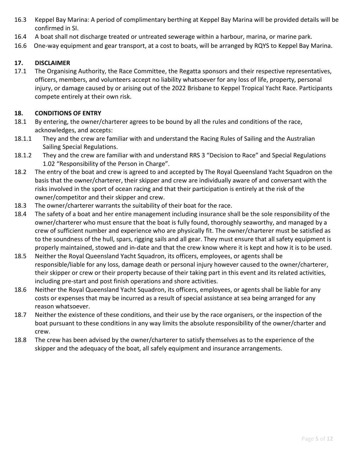- 16.3 Keppel Bay Marina: A period of complimentary berthing at Keppel Bay Marina will be provided details will be confirmed in SI.
- 16.4 A boat shall not discharge treated or untreated sewerage within a harbour, marina, or marine park.
- 16.6 One-way equipment and gear transport, at a cost to boats, will be arranged by RQYS to Keppel Bay Marina.

#### **17. DISCLAIMER**

17.1 The Organising Authority, the Race Committee, the Regatta sponsors and their respective representatives, officers, members, and volunteers accept no liability whatsoever for any loss of life, property, personal injury, or damage caused by or arising out of the 2022 Brisbane to Keppel Tropical Yacht Race. Participants compete entirely at their own risk.

#### **18. CONDITIONS OF ENTRY**

- 18.1 By entering, the owner/charterer agrees to be bound by all the rules and conditions of the race, acknowledges, and accepts:
- 18.1.1 They and the crew are familiar with and understand the Racing Rules of Sailing and the Australian Sailing Special Regulations.
- 18.1.2 They and the crew are familiar with and understand RRS 3 "Decision to Race" and Special Regulations 1.02 "Responsibility of the Person in Charge".
- 18.2 The entry of the boat and crew is agreed to and accepted by The Royal Queensland Yacht Squadron on the basis that the owner/charterer, their skipper and crew are individually aware of and conversant with the risks involved in the sport of ocean racing and that their participation is entirely at the risk of the owner/competitor and their skipper and crew.
- 18.3 The owner/charterer warrants the suitability of their boat for the race.
- 18.4 The safety of a boat and her entire management including insurance shall be the sole responsibility of the owner/charterer who must ensure that the boat is fully found, thoroughly seaworthy, and managed by a crew of sufficient number and experience who are physically fit. The owner/charterer must be satisfied as to the soundness of the hull, spars, rigging sails and all gear. They must ensure that all safety equipment is properly maintained, stowed and in-date and that the crew know where it is kept and how it is to be used.
- 18.5 Neither the Royal Queensland Yacht Squadron, its officers, employees, or agents shall be responsible/liable for any loss, damage death or personal injury however caused to the owner/charterer, their skipper or crew or their property because of their taking part in this event and its related activities, including pre-start and post finish operations and shore activities.
- 18.6 Neither the Royal Queensland Yacht Squadron, its officers, employees, or agents shall be liable for any costs or expenses that may be incurred as a result of special assistance at sea being arranged for any reason whatsoever.
- 18.7 Neither the existence of these conditions, and their use by the race organisers, or the inspection of the boat pursuant to these conditions in any way limits the absolute responsibility of the owner/charter and crew.
- 18.8 The crew has been advised by the owner/charterer to satisfy themselves as to the experience of the skipper and the adequacy of the boat, all safely equipment and insurance arrangements.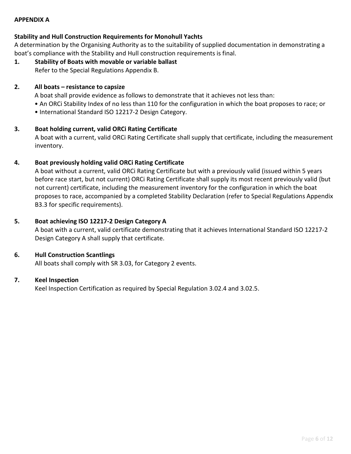#### **APPENDIX A**

#### **Stability and Hull Construction Requirements for Monohull Yachts**

A determination by the Organising Authority as to the suitability of supplied documentation in demonstrating a boat's compliance with the Stability and Hull construction requirements is final.

**1. Stability of Boats with movable or variable ballast** Refer to the Special Regulations Appendix B.

#### **2. All boats – resistance to capsize**

A boat shall provide evidence as follows to demonstrate that it achieves not less than:

- An ORCi Stability Index of no less than 110 for the configuration in which the boat proposes to race; or
- International Standard ISO 12217-2 Design Category.

#### **3. Boat holding current, valid ORCi Rating Certificate**

A boat with a current, valid ORCi Rating Certificate shall supply that certificate, including the measurement inventory.

#### **4. Boat previously holding valid ORCi Rating Certificate**

A boat without a current, valid ORCi Rating Certificate but with a previously valid (issued within 5 years before race start, but not current) ORCi Rating Certificate shall supply its most recent previously valid (but not current) certificate, including the measurement inventory for the configuration in which the boat proposes to race, accompanied by a completed Stability Declaration (refer to Special Regulations Appendix B3.3 for specific requirements).

#### **5. Boat achieving ISO 12217-2 Design Category A**

A boat with a current, valid certificate demonstrating that it achieves International Standard ISO 12217-2 Design Category A shall supply that certificate.

#### **6. Hull Construction Scantlings**

All boats shall comply with SR 3.03, for Category 2 events.

#### **7. Keel Inspection**

Keel Inspection Certification as required by Special Regulation 3.02.4 and 3.02.5.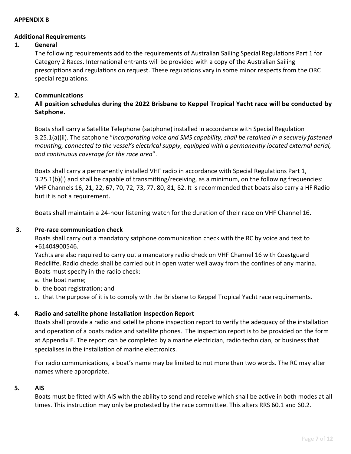#### **APPENDIX B**

#### **Additional Requirements**

#### **1. General**

The following requirements add to the requirements of Australian Sailing Special Regulations Part 1 for Category 2 Races. International entrants will be provided with a copy of the Australian Sailing prescriptions and regulations on request. These regulations vary in some minor respects from the ORC special regulations.

#### **2. Communications**

## **All position schedules during the 2022 Brisbane to Keppel Tropical Yacht race will be conducted by Satphone.**

Boats shall carry a Satellite Telephone (satphone) installed in accordance with Special Regulation 3.25.1(a)(ii). The satphone "*incorporating voice and SMS capability, shall be retained in a securely fastened mounting, connected to the vessel's electrical supply, equipped with a permanently located external aerial, and continuous coverage for the race area*".

Boats shall carry a permanently installed VHF radio in accordance with Special Regulations Part 1, 3.25.1(b)(i) and shall be capable of transmitting/receiving, as a minimum, on the following frequencies: VHF Channels 16, 21, 22, 67, 70, 72, 73, 77, 80, 81, 82. It is recommended that boats also carry a HF Radio but it is not a requirement.

Boats shall maintain a 24-hour listening watch for the duration of their race on VHF Channel 16.

#### **3. Pre-race communication check**

Boats shall carry out a mandatory satphone communication check with the RC by voice and text to +61404900546.

Yachts are also required to carry out a mandatory radio check on VHF Channel 16 with Coastguard Redcliffe. Radio checks shall be carried out in open water well away from the confines of any marina. Boats must specify in the radio check:

- a. the boat name;
- b. the boat registration; and
- c. that the purpose of it is to comply with the Brisbane to Keppel Tropical Yacht race requirements.

#### **4. Radio and satellite phone Installation Inspection Report**

Boats shall provide a radio and satellite phone inspection report to verify the adequacy of the installation and operation of a boats radios and satellite phones. The inspection report is to be provided on the form at Appendix E. The report can be completed by a marine electrician, radio technician, or business that specialises in the installation of marine electronics.

For radio communications, a boat's name may be limited to not more than two words. The RC may alter names where appropriate.

#### **5. AIS**

Boats must be fitted with AIS with the ability to send and receive which shall be active in both modes at all times. This instruction may only be protested by the race committee. This alters RRS 60.1 and 60.2.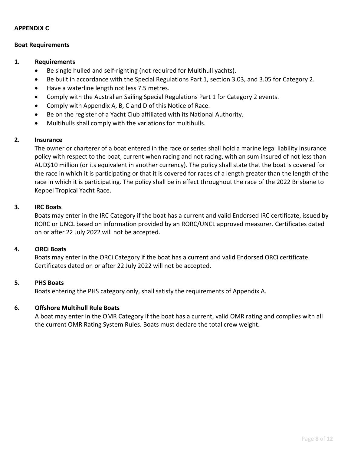#### **APPENDIX C**

#### **Boat Requirements**

#### **1. Requirements**

- Be single hulled and self-righting (not required for Multihull yachts).
- Be built in accordance with the Special Regulations Part 1, section 3.03, and 3.05 for Category 2.
- Have a waterline length not less 7.5 metres.
- Comply with the Australian Sailing Special Regulations Part 1 for Category 2 events.
- Comply with Appendix A, B, C and D of this Notice of Race.
- Be on the register of a Yacht Club affiliated with its National Authority.
- Multihulls shall comply with the variations for multihulls.

#### **2. Insurance**

The owner or charterer of a boat entered in the race or series shall hold a marine legal liability insurance policy with respect to the boat, current when racing and not racing, with an sum insured of not less than AUD\$10 million (or its equivalent in another currency). The policy shall state that the boat is covered for the race in which it is participating or that it is covered for races of a length greater than the length of the race in which it is participating. The policy shall be in effect throughout the race of the 2022 Brisbane to Keppel Tropical Yacht Race.

#### **3. IRC Boats**

Boats may enter in the IRC Category if the boat has a current and valid Endorsed IRC certificate, issued by RORC or UNCL based on information provided by an RORC/UNCL approved measurer. Certificates dated on or after 22 July 2022 will not be accepted.

#### **4. ORCi Boats**

Boats may enter in the ORCi Category if the boat has a current and valid Endorsed ORCi certificate. Certificates dated on or after 22 July 2022 will not be accepted.

#### **5. PHS Boats**

Boats entering the PHS category only, shall satisfy the requirements of Appendix A.

#### **6. Offshore Multihull Rule Boats**

A boat may enter in the OMR Category if the boat has a current, valid OMR rating and complies with all the current OMR Rating System Rules. Boats must declare the total crew weight.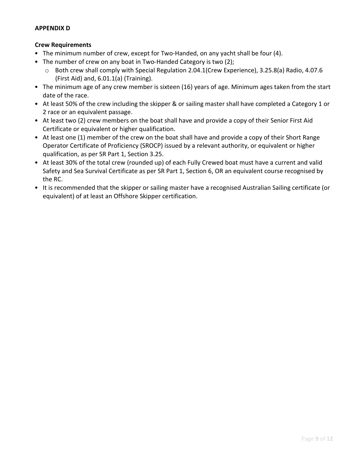#### **APPENDIX D**

#### **Crew Requirements**

- The minimum number of crew, except for Two-Handed, on any yacht shall be four (4).
- The number of crew on any boat in Two-Handed Category is two (2);
	- o Both crew shall comply with Special Regulation 2.04.1(Crew Experience), 3.25.8(a) Radio, 4.07.6 (First Aid) and, 6.01.1(a) (Training).
- The minimum age of any crew member is sixteen (16) years of age. Minimum ages taken from the start date of the race.
- At least 50% of the crew including the skipper & or sailing master shall have completed a Category 1 or 2 race or an equivalent passage.
- At least two (2) crew members on the boat shall have and provide a copy of their Senior First Aid Certificate or equivalent or higher qualification.
- At least one (1) member of the crew on the boat shall have and provide a copy of their Short Range Operator Certificate of Proficiency (SROCP) issued by a relevant authority, or equivalent or higher qualification, as per SR Part 1, Section 3.25.
- At least 30% of the total crew (rounded up) of each Fully Crewed boat must have a current and valid Safety and Sea Survival Certificate as per SR Part 1, Section 6, OR an equivalent course recognised by the RC.
- It is recommended that the skipper or sailing master have a recognised Australian Sailing certificate (or equivalent) of at least an Offshore Skipper certification.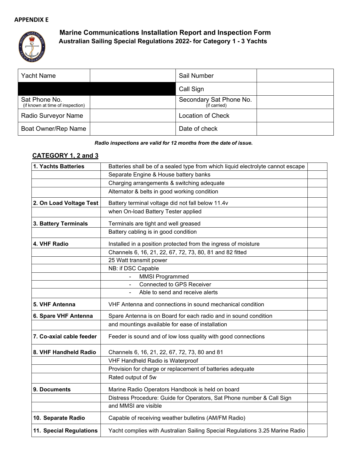#### **APPENDIX E**



## **Marine Communications Installation Report and Inspection Form Australian Sailing Special Regulations 2022- for Category 1 - 3 Yachts**

| <b>Yacht Name</b>                                 | Sail Number                             |  |
|---------------------------------------------------|-----------------------------------------|--|
|                                                   | Call Sign                               |  |
| Sat Phone No.<br>(if known at time of inspection) | Secondary Sat Phone No.<br>(if carried) |  |
| Radio Surveyor Name                               | <b>Location of Check</b>                |  |
| Boat Owner/Rep Name                               | Date of check                           |  |

#### *Radio inspections are valid for 12 months from the date of issue.*

## **CATEGORY 1, 2 and 3**

| 1. Yachts Batteries      | Batteries shall be of a sealed type from which liquid electrolyte cannot escape |  |
|--------------------------|---------------------------------------------------------------------------------|--|
|                          | Separate Engine & House battery banks                                           |  |
|                          | Charging arrangements & switching adequate                                      |  |
|                          | Alternator & belts in good working condition                                    |  |
| 2. On Load Voltage Test  | Battery terminal voltage did not fall below 11.4v                               |  |
|                          | when On-load Battery Tester applied                                             |  |
| 3. Battery Terminals     | Terminals are tight and well greased                                            |  |
|                          | Battery cabling is in good condition                                            |  |
| 4. VHF Radio             | Installed in a position protected from the ingress of moisture                  |  |
|                          | Channels 6, 16, 21, 22, 67, 72, 73, 80, 81 and 82 fitted                        |  |
|                          | 25 Watt transmit power                                                          |  |
|                          | NB: if DSC Capable                                                              |  |
|                          | <b>MMSI Programmed</b>                                                          |  |
|                          | <b>Connected to GPS Receiver</b><br>$\blacksquare$                              |  |
|                          | Able to send and receive alerts<br>$\blacksquare$                               |  |
| 5. VHF Antenna           | VHF Antenna and connections in sound mechanical condition                       |  |
| 6. Spare VHF Antenna     | Spare Antenna is on Board for each radio and in sound condition                 |  |
|                          | and mountings available for ease of installation                                |  |
| 7. Co-axial cable feeder | Feeder is sound and of low loss quality with good connections                   |  |
| 8. VHF Handheld Radio    | Channels 6, 16, 21, 22, 67, 72, 73, 80 and 81                                   |  |
|                          | VHF Handheld Radio is Waterproof                                                |  |
|                          | Provision for charge or replacement of batteries adequate                       |  |
|                          | Rated output of 5w                                                              |  |
| 9. Documents             | Marine Radio Operators Handbook is held on board                                |  |
|                          | Distress Procedure: Guide for Operators, Sat Phone number & Call Sign           |  |
|                          | and MMSI are visible                                                            |  |
| 10. Separate Radio       | Capable of receiving weather bulletins (AM/FM Radio)                            |  |
| 11. Special Regulations  | Yacht complies with Australian Sailing Special Regulations 3.25 Marine Radio    |  |